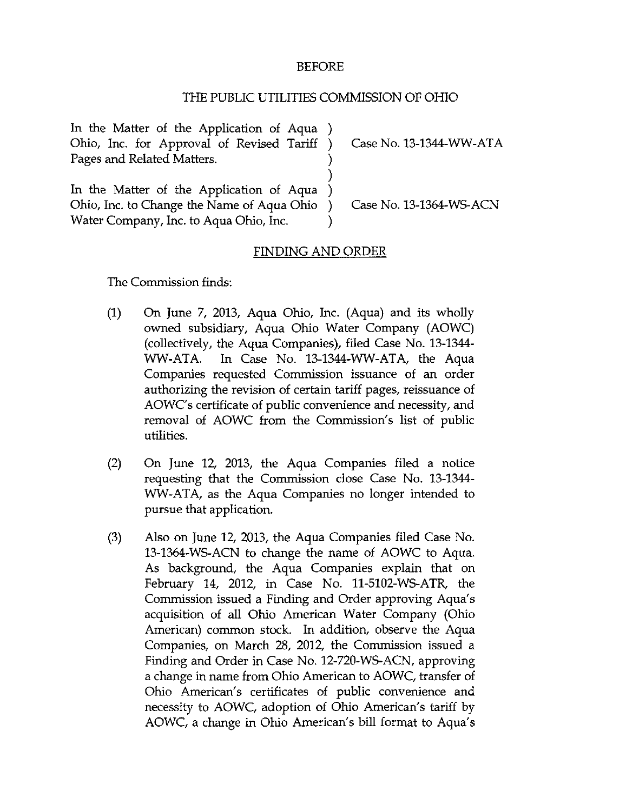## BEFORE

## THE PUBLIC UTILITIES COMMISSION OF OHIO

In the Matter of the Application of Aqua) Ohio, Inc. for Approval of Revised Tariff Pages and Related Matters.

Case No. 13-1344-WW-ATA

In the Matter of the Application of Aqua Ohio, Inc. to Change the Name of Aqua Ohio Water Company, Inc. to Aqua Ohio, Inc.

Case No. 13-1364-WS-ACN

## FINDING AND ORDER

 $\mathcal{F}$  $\mathcal{L}$ 

The Commission finds:

- (1) On June 7, 2013, Aqua Ohio, Inc. (Aqua) and its wholly owned subsidiary. Aqua Ohio Water Company (AOWC) (collectively, the Aqua Companies), filed Case No. 13-1344- WW-ATA. In Case No. 13-1344-WW-ATA, the Aqua Companies requested Commission issuance of an order authorizing the revision of certain tariff pages, reissuance of AOWC's certificate of public convenience and necessity, and removal of AOWC from the Commission's list of public utilities.
- (2) On June 12, 2013, the Aqua Companies filed a notice requesting that the Commission close Case No. 13-1344- WW-ATA, as the Aqua Companies no longer intended to pursue that application.
- (3) Also on June 12, 2013, the Aqua Companies filed Case No. 13-1364-WS-ACN to change the name of AOWC to Aqua. As background, the Aqua Companies explain that on February 14, 2012, in Case No. 11-5102-WS-ATR, the Commission issued a Finding and Order approving Aqua's acquisition of all Ohio American Water Company (Ohio American) common stock. In addition, observe the Aqua Companies, on March 28, 2012, the Commission issued a Finding and Order in Case No. 12-720-WS-ACN, approving a change in name from Ohio American to AOWC, transfer of Ohio American's certificates of public convenience and necessity to AOWC, adoption of Ohio American's tariff by AOWC, a change in Ohio American's bill format to Aqua's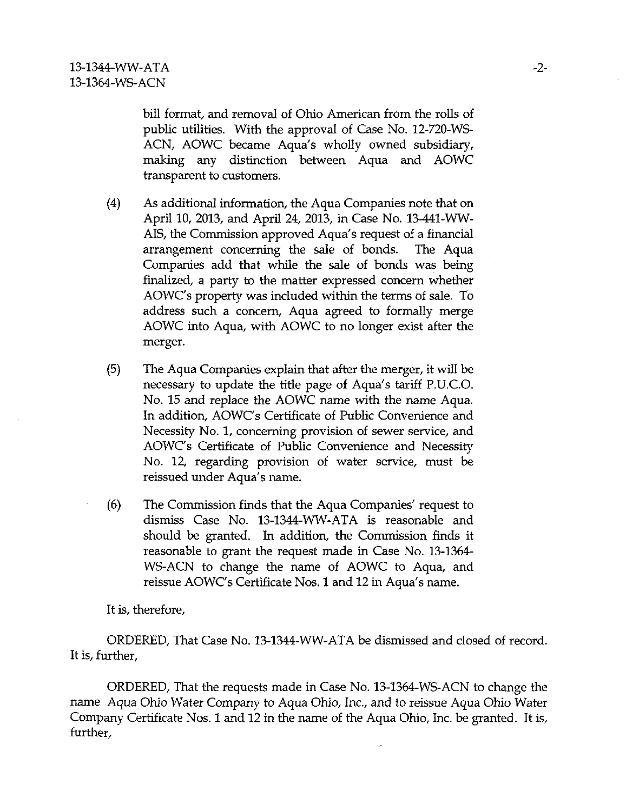bill format, and removal of Ohio American from the rolls of public utilities. With the approval of Case No. 12-720-WS-ACN, AOWC became Aqua's wholly owned subsidiary, making any distinction between Aqua and AOWC transparent to customers.

- (4) As additional information, the Aqua Companies note that on April 10, 2013, and April 24, 2013, in Case No. 13-441-WW-AIS, the Commission approved Aqua's request of a financial arrangement concerning the sale of bonds. The Aqua Companies add that while the sale of bonds was being finalized, a party to the matter expressed concern whether AOWC's property was included within the terms of sale. To address such a concern. Aqua agreed to formally merge AOWC into Aqua, with AOWC to no longer exist after the merger.
- (5) The Aqua Companies explain that after the merger, it will be necessary to update the title page of Aqua's tariff P.U.C.O. No. 15 and replace the AOWC name with the name Aqua. In addition, AOWC's Certificate of Public Convenience and Necessity No. 1, concerning provision of sewer service, and AOWC's Certificate of Public Convenience and Necessity No. 12, regarding provision of water service, must be reissued under Aqua's name.
- (6) The Commission finds that the Aqua Companies' request to dismiss Case No. 13-1344-WW-ATA is reasonable and should be granted. In addition, the Commission finds it reasonable to grant the request made in Case No. 13-1364- WS-ACN to change the name of AOWC to Aqua, and reissue AOWC's Certificate Nos. 1 and 12 in Aqua's name.

It is, therefore,

ORDERED, That Case No. 13-1344-WW-ATA be dismissed and closed of record. It is, further,

ORDERED, That the requests made in Case No. 13-1364-WS-ACN to change the name Aqua Ohio Water Company to Aqua Ohio, Inc., and to reissue Aqua Ohio Water Company Certificate Nos. 1 and 12 in the name of the Aqua Ohio, Inc. be granted. It is, further.